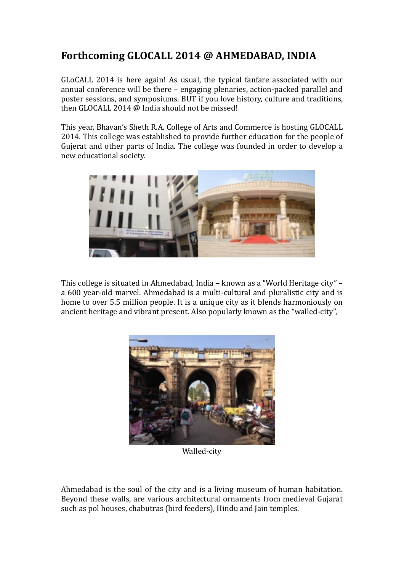# Forthcoming GLOCALL 2014 @ AHMEDABAD, INDIA

GLoCALL 2014 is here again! As usual, the typical fanfare associated with our annual conference will be there – engaging plenaries, action-packed parallel and poster sessions, and symposiums. BUT if you love history, culture and traditions, then GLOCALL 2014  $\omega$  India should not be missed!

This year, Bhavan's Sheth R.A. College of Arts and Commerce is hosting GLOCALL 2014. This college was established to provide further education for the people of Gujerat and other parts of India. The college was founded in order to develop a new educational society.



This college is situated in Ahmedabad, India – known as a "World Heritage city" – a 600 year-old marvel. Ahmedabad is a multi-cultural and pluralistic city and is home to over 5.5 million people. It is a unique city as it blends harmoniously on ancient heritage and vibrant present. Also popularly known as the "walled-city",



Walled-city 

Ahmedabad is the soul of the city and is a living museum of human habitation. Beyond these walls, are various architectural ornaments from medieval Gujarat such as pol houses, chabutras (bird feeders), Hindu and Jain temples.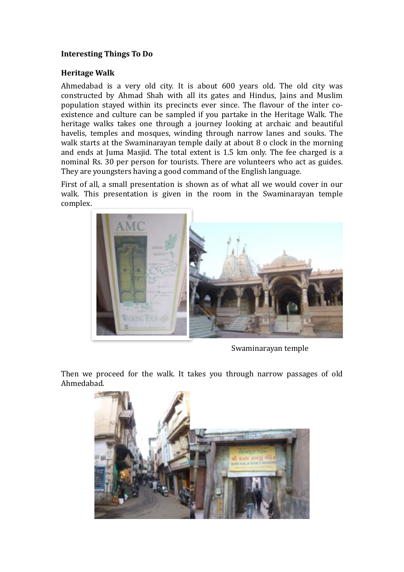## **Interesting Things To Do**

### **Heritage Walk**

Ahmedabad is a very old city. It is about 600 years old. The old city was constructed by Ahmad Shah with all its gates and Hindus, Jains and Muslim population stayed within its precincts ever since. The flavour of the inter coexistence and culture can be sampled if you partake in the Heritage Walk. The heritage walks takes one through a journey looking at archaic and beautiful havelis, temples and mosques, winding through narrow lanes and souks. The walk starts at the Swaminarayan temple daily at about 8 o clock in the morning and ends at Juma Masjid. The total extent is 1.5 km only. The fee charged is a nominal Rs. 30 per person for tourists. There are volunteers who act as guides. They are voungsters having a good command of the English language.

First of all, a small presentation is shown as of what all we would cover in our walk. This presentation is given in the room in the Swaminarayan temple complex. 



Swaminarayan temple

Then we proceed for the walk. It takes you through narrow passages of old Ahmedabad. 

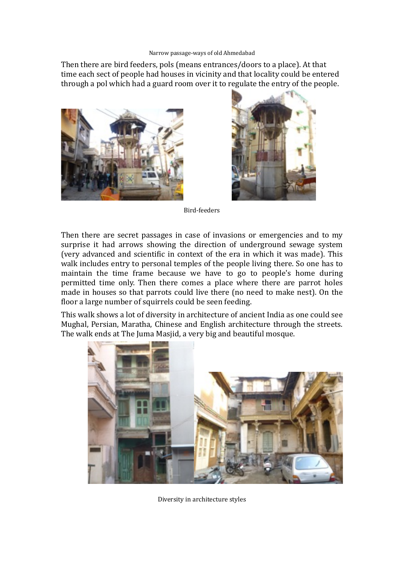#### Narrow passage-ways of old Ahmedabad

Then there are bird feeders, pols (means entrances/doors to a place). At that time each sect of people had houses in vicinity and that locality could be entered through a pol which had a guard room over it to regulate the entry of the people.





Bird-feeders

Then there are secret passages in case of invasions or emergencies and to my surprise it had arrows showing the direction of underground sewage system (very advanced and scientific in context of the era in which it was made). This walk includes entry to personal temples of the people living there. So one has to maintain the time frame because we have to go to people's home during permitted time only. Then there comes a place where there are parrot holes made in houses so that parrots could live there (no need to make nest). On the floor a large number of squirrels could be seen feeding.

This walk shows a lot of diversity in architecture of ancient India as one could see Mughal, Persian, Maratha, Chinese and English architecture through the streets. The walk ends at The Juma Masjid, a very big and beautiful mosque.



Diversity in architecture styles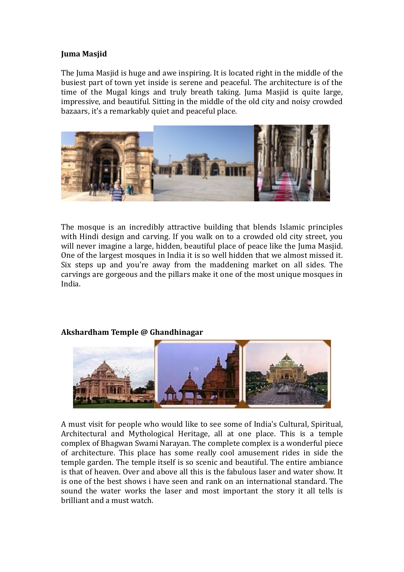### **Juma Masjid**

The Iuma Masjid is huge and awe inspiring. It is located right in the middle of the busiest part of town yet inside is serene and peaceful. The architecture is of the time of the Mugal kings and truly breath taking. Juma Masjid is quite large, impressive, and beautiful. Sitting in the middle of the old city and noisy crowded bazaars, it's a remarkably quiet and peaceful place.



The mosque is an incredibly attractive building that blends Islamic principles with Hindi design and carving. If you walk on to a crowded old city street, you will never imagine a large, hidden, beautiful place of peace like the Juma Masjid. One of the largest mosques in India it is so well hidden that we almost missed it. Six steps up and you're away from the maddening market on all sides. The carvings are gorgeous and the pillars make it one of the most unique mosques in India.

### **Akshardham Temple @ Ghandhinagar**



A must visit for people who would like to see some of India's Cultural, Spiritual, Architectural and Mythological Heritage, all at one place. This is a temple complex of Bhagwan Swami Narayan. The complete complex is a wonderful piece of architecture. This place has some really cool amusement rides in side the temple garden. The temple itself is so scenic and beautiful. The entire ambiance is that of heaven. Over and above all this is the fabulous laser and water show. It is one of the best shows i have seen and rank on an international standard. The sound the water works the laser and most important the story it all tells is brilliant and a must watch.